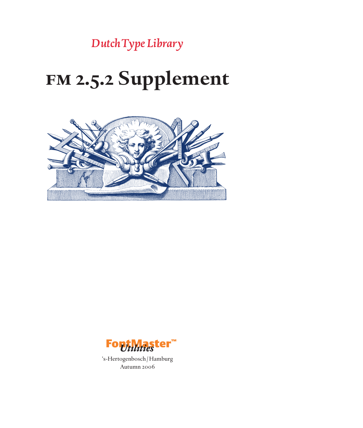# **fm 2.5.2 Supplement**



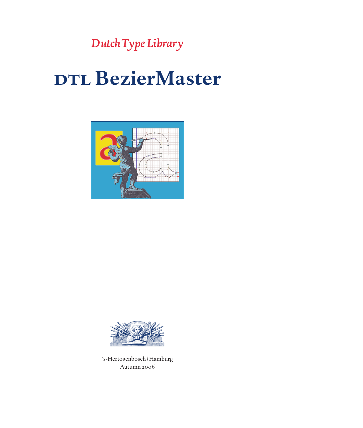## **d**DTL BezierMaster



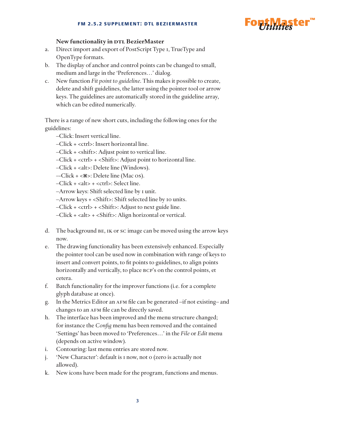

#### **New functionality in DTL BezierMaster**

- a. Direct import and export of PostScript Type 1, TrueType and OpenType formats.
- b. The display of anchor and control points can be changed to small, medium and large in the 'Preferences…' dialog.
- c. New function *Fit point to guideline*. This makes it possible to create, delete and shift guidelines, the latter using the pointer tool or arrow keys. The guidelines are automatically stored in the guideline array, which can be edited numerically.

There is a range of new short cuts, including the following ones for the guidelines:

- –Click: Insert vertical line.
- –Click + <ctrl>: Insert horizontal line.
- –Click + <shift>: Adjust point to vertical line.
- –Click + <ctrl> + <Shift>: Adjust point to horizontal line.
- –Click + <alt>: Delete line (Windows).
- $-Click +  $\lll$  >: Delete line (Mac os).$
- –Click + <alt> + <ctrl>: Select line.
- –Arrow keys: Shift selected line by 1 unit.
- –Arrow keys + <Shift>: Shift selected line by 10 units.
- –Click + <ctrl> + <Shift>: Adjust to next guide line.
- –Click + <alt> + <Shift>: Align horizontal or vertical.
- d. The background be, ik or sc image can be moved using the arrow keys now.
- e. The drawing functionality has been extensively enhanced. Especially the pointer tool can be used now in combination with range of keys to insert and convert points, to fit points to guidelines, to align points horizontally and vertically, to place  $BCP's$  on the control points, et cetera.
- f. Batch functionality for the improver functions (i.e. for a complete glyph database at once).
- g. In the Metrics Editor an afm file can be generated –if not existing– and changes to an AFM file can be directly saved.
- h. The interface has been improved and the menu structure changed; for instance the *Config* menu has been removed and the contained 'Settings' has been moved to 'Preferences…' in the *File* or *Edit* menu (depends on active window).
- i. Contouring: last menu entries are stored now.
- j. 'New Character': default is 1 now, not 0 (zero is actually not allowed).
- k. New icons have been made for the program, functions and menus.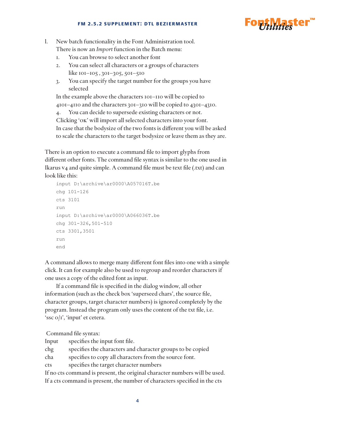

- l. New batch functionality in the Font Administration tool. There is now an *Import* function in the Batch menu:
	- 1. You can browse to select another font
	- 2. You can select all characters or a groups of characters like 101–105 , 301–305, 501–510
	- 3. You can specify the target number for the groups you have selected

In the example above the characters 101–110 will be copied to 4101–4110 and the characters 301–310 will be copied to 4301–4310.

4. You can decide to supersede existing characters or not. Clicking 'ok' will import all selected characters into your font. In case that the bodysize of the two fonts is different you will be asked to scale the characters to the target bodysize or leave them as they are.

There is an option to execute a command file to import glyphs from different other fonts. The command file syntax is similar to the one used in Ikarus v4 and quite simple. A command file must be text file (.txt) and can look like this:

```
input D:\archive\ar0000\A057016T.be
chg 101-126
cts 3101
run
input D:\archive\ar0000\A066036T.be
chg 301-326,501-510
cts 3301,3501
run
end
```
A command allows to merge many different font files into one with a simple click. It can for example also be used to regroup and reorder characters if one uses a copy of the edited font as input.

If a command file is specified in the dialog window, all other information (such as the check box 'superseed chars', the source file, character groups, target character numbers) is ignored completely by the program. Instead the program only uses the content of the txt file, i.e. 'ssc 0/1', 'input' et cetera.

Command file syntax:

| Input | specifies the input font file.                             |
|-------|------------------------------------------------------------|
| chg   | specifies the characters and character groups to be copied |
| cha   | specifies to copy all characters from the source font.     |
|       |                                                            |

cts specifies the target character numbers

If no cts command is present, the original character numbers will be used.

If a cts command is present, the number of characters specified in the cts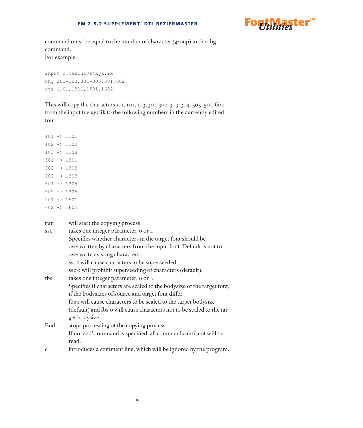

command must be equal to the number of character (group) in the chg command. For example:

input c:\archive\xyz.ik chg 101-103,301-305,501,602, cts 1101,1301,1501,1602

This will copy the characters 101, 102, 103, 301, 302, 303, 304, 305, 501, 602 from the input file xyz.ik to the following numbers in the currently edited font:

| run |  | will start the copying process |  |
|-----|--|--------------------------------|--|
|     |  |                                |  |

| <b>SSC</b>   | takes one integer parameter, o or I.                                   |
|--------------|------------------------------------------------------------------------|
|              | Specifies whether characters in the target font should be              |
|              | overwritten by characters from the input font. Default is not to       |
|              | overwrite existing characters.                                         |
|              | ssc I will cause characters to be superseeded.                         |
|              | ssc o will prohibit superseeding of characters (default).              |
| fbs          | takes one integer parameter, o or I.                                   |
|              | Specifies if characters are scaled to the bodysize of the target font, |
|              | if the bodysizes of source and target font differ.                     |
|              | fbs I will cause characters to be scaled to the target bodysize        |
|              | (default) and fbs o will cause characters not to be scaled to the tar  |
|              | get bodysize.                                                          |
| End          | stops processing of the copying process                                |
|              | If no 'end' command is specified, all commands until eof will be       |
|              | read.                                                                  |
| $\mathsf{C}$ | introduces a comment line, which will be ignored by the program.       |
|              |                                                                        |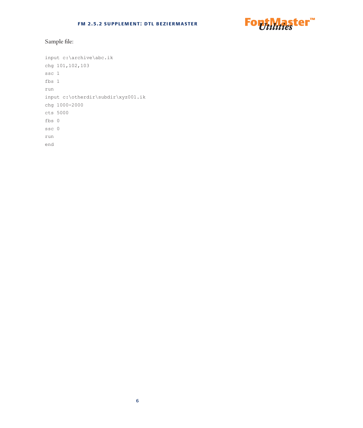

## Sample file:

input c:\archive\abc.ik chg 101,102,103 ssc 1 fbs 1 run input c:\otherdir\subdir\xyz001.ik chg 1000-2000 cts 5000 fbs 0 ssc 0 run end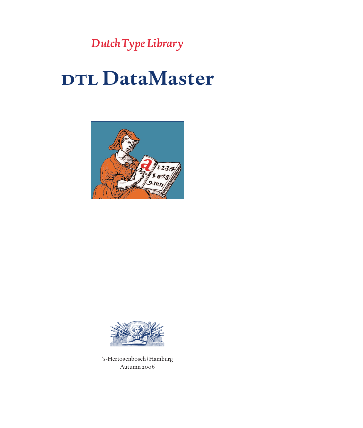## **d**DTL DataMaster



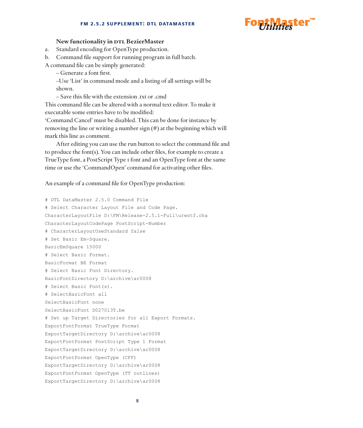#### **fm 2.5.2 supplement: dtl datamaster**



#### **New functionality in DTL BezierMaster**

a. Standard encoding for OpenType production.

b. Command file support for running program in full batch. A command file can be simply generated:

– Generate a font first.

–Use 'List' in command mode and a listing of all settings will be shown.

– Save this file with the extension .txt or .cmd

This command file can be altered with a normal text editor. To make it executable some entries have to be modified:

'Command Cancel' must be disabled. This can be done for instance by removing the line or writing a number sign (#) at the beginning which will mark this line as comment.

After editing you can use the run button to select the command file and to produce the font(s). You can include other files, for example to create a TrueType font, a PostScript Type 1 font and an OpenType font at the same time or use the 'CommandOpen' command for activating other files.

An example of a command file for OpenType production:

# DTL DataMaster 2.5.0 Command File # Select Character Layout File and Code Page. CharacterLayoutFile D:\FM\Release-2.5.1-Full\urwotf.cha CharacterLayoutCodePage PostScript-Number # CharacterLayoutUseStandard false # Set Basic Em-Square. BasicEmSquare 15000 # Select Basic Format. BasicFormat BE Format # Select Basic Font Directory. BasicFontDirectory D:\archive\ar0008 # Select Basic Font(s). # SelectBasicFont all SelectBasicFont none SelectBasicFont D027013T.be # Set up Target Directories for all Export Formats. ExportFontFormat TrueType Format ExportTargetDirectory D:\archive\ar0008 ExportFontFormat PostScript Type 1 Format ExportTargetDirectory D:\archive\ar0008 ExportFontFormat OpenType (CFF) ExportTargetDirectory D:\archive\ar0008 ExportFontFormat OpenType (TT outlines) ExportTargetDirectory D:\archive\ar0008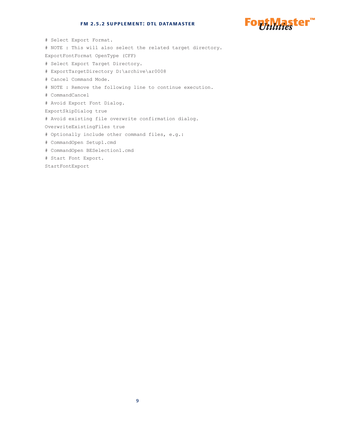#### **fm 2.5.2 supplement: dtl datamaster**



# Select Export Format. # NOTE : This will also select the related target directory. ExportFontFormat OpenType (CFF) # Select Export Target Directory. # ExportTargetDirectory D:\archive\ar0008 # Cancel Command Mode. # NOTE : Remove the following line to continue execution. # CommandCancel # Avoid Export Font Dialog. ExportSkipDialog true # Avoid existing file overwrite confirmation dialog. OverwriteExistingFiles true # Optionally include other command files, e.g.: # CommandOpen Setup1.cmd # CommandOpen BESelection1.cmd # Start Font Export.

StartFontExport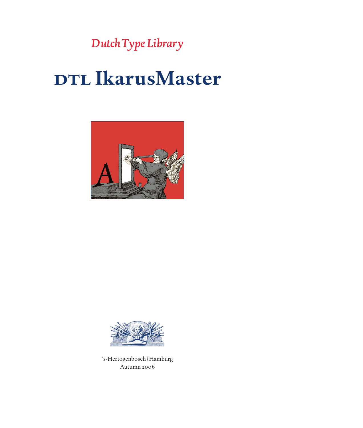## **d**DTL IkarusMaster



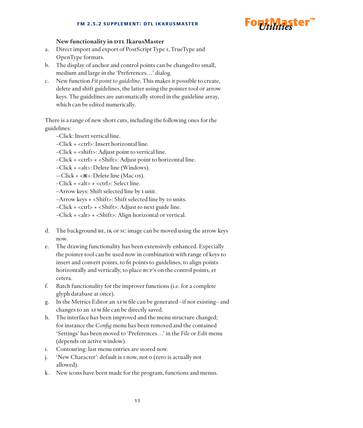

#### **New functionality in DTL IkarusMaster**

- a. Direct import and export of PostScript Type 1, TrueType and OpenType formats.
- b. The display of anchor and control points can be changed to small, medium and large in the 'Preferences…' dialog.
- c. New function *Fit point to guideline*. This makes it possible to create, delete and shift guidelines, the latter using the pointer tool or arrow keys. The guidelines are automatically stored in the guideline array, which can be edited numerically.

There is a range of new short cuts, including the following ones for the guidelines:

- –Click: Insert vertical line.
- –Click + <ctrl>: Insert horizontal line.
- –Click + <shift>: Adjust point to vertical line.
- –Click + <ctrl> + <Shift>: Adjust point to horizontal line.
- –Click + <alt>: Delete line (Windows).
- $-Click +  $\lll$  >: Delete line (Mac os).$
- –Click + <alt> + <ctrl>: Select line.
- –Arrow keys: Shift selected line by 1 unit.
- –Arrow keys + <Shift>: Shift selected line by 10 units.
- –Click + <ctrl> + <Shift>: Adjust to next guide line.
- –Click + <alt> + <Shift>: Align horizontal or vertical.
- d. The background be, ik or sc image can be moved using the arrow keys now.
- e. The drawing functionality has been extensively enhanced. Especially the pointer tool can be used now in combination with range of keys to insert and convert points, to fit points to guidelines, to align points horizontally and vertically, to place  $BCP's$  on the control points, et cetera.
- f. Batch functionality for the improver functions (i.e. for a complete glyph database at once).
- g. In the Metrics Editor an afm file can be generated –if not existing– and changes to an AFM file can be directly saved.
- h. The interface has been improved and the menu structure changed; for instance the *Config* menu has been removed and the contained 'Settings' has been moved to 'Preferences…' in the *File* or *Edit* menu (depends on active window).
- i. Contouring: last menu entries are stored now.
- j. 'New Character': default is 1 now, not 0 (zero is actually not allowed).
- k. New icons have been made for the program, functions and menus.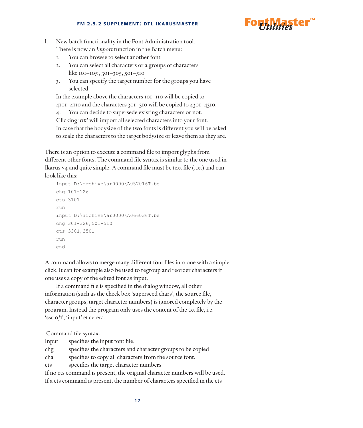

- l. New batch functionality in the Font Administration tool. There is now an *Import* function in the Batch menu:
	- 1. You can browse to select another font
	- 2. You can select all characters or a groups of characters like 101–105 , 301–305, 501–510
	- 3. You can specify the target number for the groups you have selected

In the example above the characters 101–110 will be copied to 4101–4110 and the characters 301–310 will be copied to 4301–4310.

4. You can decide to supersede existing characters or not. Clicking 'ok' will import all selected characters into your font. In case that the bodysize of the two fonts is different you will be asked to scale the characters to the target bodysize or leave them as they are.

There is an option to execute a command file to import glyphs from different other fonts. The command file syntax is similar to the one used in Ikarus v4 and quite simple. A command file must be text file (.txt) and can look like this:

```
input D:\archive\ar0000\A057016T.be
chg 101-126
cts 3101
run
input D:\archive\ar0000\A066036T.be
chg 301-326,501-510
cts 3301,3501
run
end
```
A command allows to merge many different font files into one with a simple click. It can for example also be used to regroup and reorder characters if one uses a copy of the edited font as input.

If a command file is specified in the dialog window, all other information (such as the check box 'superseed chars', the source file, character groups, target character numbers) is ignored completely by the program. Instead the program only uses the content of the txt file, i.e. 'ssc 0/1', 'input' et cetera.

Command file syntax:

| Input | specifies the input font file.                             |
|-------|------------------------------------------------------------|
| chg   | specifies the characters and character groups to be copied |
| cha   | specifies to copy all characters from the source font.     |

cts specifies the target character numbers

If no cts command is present, the original character numbers will be used.

If a cts command is present, the number of characters specified in the cts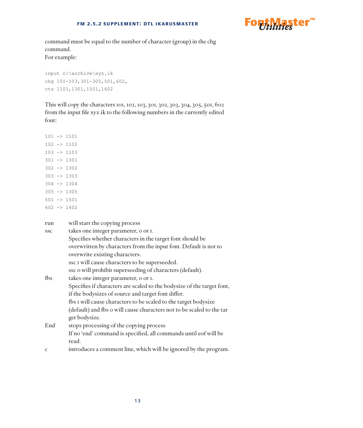

command must be equal to the number of character (group) in the chg command. For example:

input c:\archive\xyz.ik chg 101-103,301-305,501,602, cts 1101,1301,1501,1602

This will copy the characters 101, 102, 103, 301, 302, 303, 304, 305, 501, 602 from the input file xyz.ik to the following numbers in the currently edited font:

|  | run |  | will start the copying process |  |  |
|--|-----|--|--------------------------------|--|--|
|--|-----|--|--------------------------------|--|--|

| <b>SSC</b>   | takes one integer parameter, o or I.                                   |
|--------------|------------------------------------------------------------------------|
|              | Specifies whether characters in the target font should be              |
|              | overwritten by characters from the input font. Default is not to       |
|              | overwrite existing characters.                                         |
|              | ssc I will cause characters to be superseeded.                         |
|              | ssc o will prohibit superseeding of characters (default).              |
| fbs          | takes one integer parameter, o or I.                                   |
|              | Specifies if characters are scaled to the bodysize of the target font, |
|              | if the bodysizes of source and target font differ.                     |
|              | fbs I will cause characters to be scaled to the target bodysize        |
|              | (default) and fbs o will cause characters not to be scaled to the tar  |
|              | get bodysize.                                                          |
| End          | stops processing of the copying process                                |
|              | If no 'end' command is specified, all commands until eof will be       |
|              | read.                                                                  |
| $\mathsf{C}$ | introduces a comment line, which will be ignored by the program.       |
|              |                                                                        |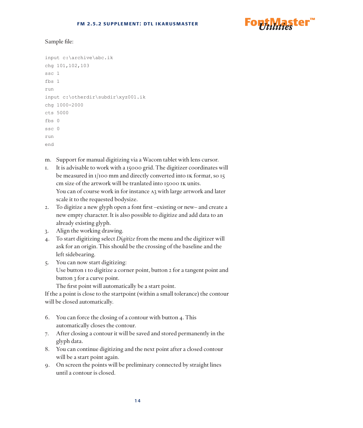

#### Sample file:

```
input c:\archive\abc.ik
chg 101,102,103
ssc 1
fbs 1
run
input c:\otherdir\subdir\xyz001.ik
chg 1000-2000
cts 5000
fbs 0
ssc 0
run
end
```
- m. Support for manual digitizing via a Wacom tablet with lens cursor.
- 1. It is advisable to work with a 15000 grid. The digitizer coordinates will be measured in 1/100 mm and directly converted into IK format, so 15 cm size of the artwork will be tranlated into 15000 ik units. You can of course work in for instance A3 with large artwork and later scale it to the requested bodysize.
- 2. To digitize a new glyph open a font first –existing or new– and create a new empty character. It is also possible to digitize and add data to an already existing glyph.
- 3. Align the working drawing.
- 4. To start digitizing select *Digitize* from the menu and the digitizer will ask for an origin. This should be the crossing of the baseline and the left sidebearing.
- 5. You can now start digitizing:

Use button 1 to digitize a corner point, button 2 for a tangent point and button 3 for a curve point.

The first point will automatically be a start point.

If the a point is close to the startpoint (within a small tolerance) the contour will be closed automatically.

- 6. You can force the closing of a contour with button 4. This automatically closes the contour.
- 7. After closing a contour it will be saved and stored permanently in the glyph data.
- 8. You can continue digitizing and the next point after a closed contour will be a start point again.
- 9. On screen the points will be preliminary connected by straight lines until a contour is closed.